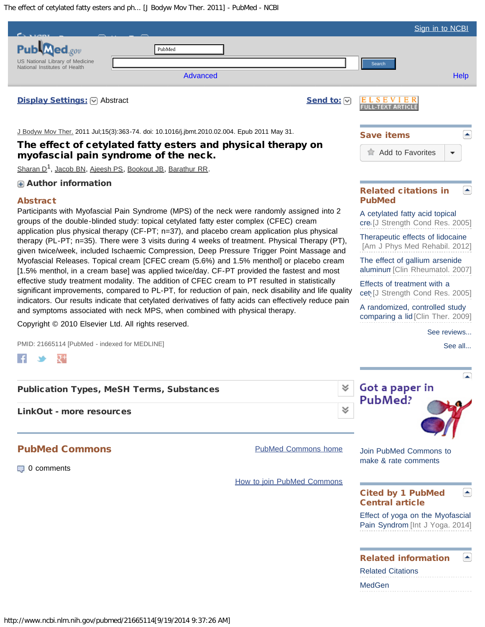<span id="page-0-0"></span>The effect of cetylated fatty esters and ph... [J Bodyw Mov Ther. 2011] - PubMed - NCBI

|                                                                                                                                                                                                                                                                                                                                                                                                                                                                                                                                                                                                                                                                                                                                                                                                                                                                                                                                                                                                                                                                                            |                            |                            |                       | Sign in to NCBI                                                     |
|--------------------------------------------------------------------------------------------------------------------------------------------------------------------------------------------------------------------------------------------------------------------------------------------------------------------------------------------------------------------------------------------------------------------------------------------------------------------------------------------------------------------------------------------------------------------------------------------------------------------------------------------------------------------------------------------------------------------------------------------------------------------------------------------------------------------------------------------------------------------------------------------------------------------------------------------------------------------------------------------------------------------------------------------------------------------------------------------|----------------------------|----------------------------|-----------------------|---------------------------------------------------------------------|
| $\textsf{ed}_{\textit{.cov}}$                                                                                                                                                                                                                                                                                                                                                                                                                                                                                                                                                                                                                                                                                                                                                                                                                                                                                                                                                                                                                                                              | PubMed                     |                            |                       |                                                                     |
| US National Library of Medicine<br>National Institutes of Health                                                                                                                                                                                                                                                                                                                                                                                                                                                                                                                                                                                                                                                                                                                                                                                                                                                                                                                                                                                                                           |                            |                            |                       | Search                                                              |
|                                                                                                                                                                                                                                                                                                                                                                                                                                                                                                                                                                                                                                                                                                                                                                                                                                                                                                                                                                                                                                                                                            | <b>Advanced</b>            |                            |                       | <b>Help</b>                                                         |
| <b>Display Settings:</b> ⊙ Abstract                                                                                                                                                                                                                                                                                                                                                                                                                                                                                                                                                                                                                                                                                                                                                                                                                                                                                                                                                                                                                                                        |                            |                            | Send to: $\heartsuit$ | вv<br>-TEXT ARTI                                                    |
| J Bodyw Mov Ther. 2011 Jul;15(3):363-74. doi: 10.1016/j.jbmt.2010.02.004. Epub 2011 May 31.<br>The effect of cetylated fatty esters and physical therapy on<br>myofascial pain syndrome of the neck.<br>Sharan D <sup>1</sup> , Jacob BN, Ajeesh PS, Bookout JB, Barathur RR.                                                                                                                                                                                                                                                                                                                                                                                                                                                                                                                                                                                                                                                                                                                                                                                                              |                            |                            |                       | <b>Save items</b>                                                   |
|                                                                                                                                                                                                                                                                                                                                                                                                                                                                                                                                                                                                                                                                                                                                                                                                                                                                                                                                                                                                                                                                                            |                            |                            |                       | Add to Favorites<br>▼                                               |
|                                                                                                                                                                                                                                                                                                                                                                                                                                                                                                                                                                                                                                                                                                                                                                                                                                                                                                                                                                                                                                                                                            |                            |                            |                       |                                                                     |
| Author information                                                                                                                                                                                                                                                                                                                                                                                                                                                                                                                                                                                                                                                                                                                                                                                                                                                                                                                                                                                                                                                                         |                            |                            |                       | <b>Related citations in</b><br>÷.                                   |
| <b>Abstract</b><br>Participants with Myofascial Pain Syndrome (MPS) of the neck were randomly assigned into 2                                                                                                                                                                                                                                                                                                                                                                                                                                                                                                                                                                                                                                                                                                                                                                                                                                                                                                                                                                              |                            |                            |                       | <b>PubMed</b>                                                       |
| groups of the double-blinded study: topical cetylated fatty ester complex (CFEC) cream<br>application plus physical therapy (CF-PT; n=37), and placebo cream application plus physical<br>therapy (PL-PT; n=35). There were 3 visits during 4 weeks of treatment. Physical Therapy (PT),<br>given twice/week, included Ischaemic Compression, Deep Pressure Trigger Point Massage and<br>Myofascial Releases. Topical cream [CFEC cream (5.6%) and 1.5% menthol] or placebo cream<br>[1.5% menthol, in a cream base] was applied twice/day. CF-PT provided the fastest and most<br>effective study treatment modality. The addition of CFEC cream to PT resulted in statistically<br>significant improvements, compared to PL-PT, for reduction of pain, neck disability and life quality<br>indicators. Our results indicate that cetylated derivatives of fatty acids can effectively reduce pain<br>and symptoms associated with neck MPS, when combined with physical therapy.<br>Copyright © 2010 Elsevier Ltd. All rights reserved.<br>PMID: 21665114 [PubMed - indexed for MEDLINE] |                            |                            |                       | A cetylated fatty acid topical<br>cre [J Strength Cond Res. 2005]   |
|                                                                                                                                                                                                                                                                                                                                                                                                                                                                                                                                                                                                                                                                                                                                                                                                                                                                                                                                                                                                                                                                                            |                            |                            |                       | Therapeutic effects of lidocaine<br>[Am J Phys Med Rehabil. 2012]   |
|                                                                                                                                                                                                                                                                                                                                                                                                                                                                                                                                                                                                                                                                                                                                                                                                                                                                                                                                                                                                                                                                                            |                            |                            |                       | The effect of gallium arsenide<br>aluminun [Clin Rheumatol. 2007]   |
|                                                                                                                                                                                                                                                                                                                                                                                                                                                                                                                                                                                                                                                                                                                                                                                                                                                                                                                                                                                                                                                                                            |                            |                            |                       | Effects of treatment with a<br>cet [J Strength Cond Res. 2005]      |
|                                                                                                                                                                                                                                                                                                                                                                                                                                                                                                                                                                                                                                                                                                                                                                                                                                                                                                                                                                                                                                                                                            |                            |                            |                       | A randomized, controlled study<br>comparing a lid [Clin Ther. 2009] |
|                                                                                                                                                                                                                                                                                                                                                                                                                                                                                                                                                                                                                                                                                                                                                                                                                                                                                                                                                                                                                                                                                            |                            |                            |                       | See reviews                                                         |
|                                                                                                                                                                                                                                                                                                                                                                                                                                                                                                                                                                                                                                                                                                                                                                                                                                                                                                                                                                                                                                                                                            |                            |                            |                       | See all                                                             |
|                                                                                                                                                                                                                                                                                                                                                                                                                                                                                                                                                                                                                                                                                                                                                                                                                                                                                                                                                                                                                                                                                            |                            |                            |                       |                                                                     |
| <b>Publication Types, MeSH Terms, Substances</b>                                                                                                                                                                                                                                                                                                                                                                                                                                                                                                                                                                                                                                                                                                                                                                                                                                                                                                                                                                                                                                           |                            |                            |                       | Got a paper in                                                      |
|                                                                                                                                                                                                                                                                                                                                                                                                                                                                                                                                                                                                                                                                                                                                                                                                                                                                                                                                                                                                                                                                                            |                            |                            |                       | PubMed?                                                             |
| <b>LinkOut - more resources</b>                                                                                                                                                                                                                                                                                                                                                                                                                                                                                                                                                                                                                                                                                                                                                                                                                                                                                                                                                                                                                                                            |                            |                            | ∀                     |                                                                     |
| <b>PubMed Commons</b>                                                                                                                                                                                                                                                                                                                                                                                                                                                                                                                                                                                                                                                                                                                                                                                                                                                                                                                                                                                                                                                                      |                            | <b>PubMed Commons home</b> |                       | Join PubMed Commons to                                              |
| $\Box$ 0 comments                                                                                                                                                                                                                                                                                                                                                                                                                                                                                                                                                                                                                                                                                                                                                                                                                                                                                                                                                                                                                                                                          |                            |                            |                       | make & rate comments                                                |
|                                                                                                                                                                                                                                                                                                                                                                                                                                                                                                                                                                                                                                                                                                                                                                                                                                                                                                                                                                                                                                                                                            | How to join PubMed Commons |                            |                       |                                                                     |
|                                                                                                                                                                                                                                                                                                                                                                                                                                                                                                                                                                                                                                                                                                                                                                                                                                                                                                                                                                                                                                                                                            |                            |                            |                       | ×.<br><b>Cited by 1 PubMed</b><br><b>Central article</b>            |
|                                                                                                                                                                                                                                                                                                                                                                                                                                                                                                                                                                                                                                                                                                                                                                                                                                                                                                                                                                                                                                                                                            |                            |                            |                       | Effect of yoga on the Myofascial<br>Pain Syndrom [Int J Yoga. 2014] |
|                                                                                                                                                                                                                                                                                                                                                                                                                                                                                                                                                                                                                                                                                                                                                                                                                                                                                                                                                                                                                                                                                            |                            |                            |                       | <b>Related information</b><br>٠                                     |
|                                                                                                                                                                                                                                                                                                                                                                                                                                                                                                                                                                                                                                                                                                                                                                                                                                                                                                                                                                                                                                                                                            |                            |                            |                       | <b>Related Citations</b><br><b>MedGen</b>                           |
|                                                                                                                                                                                                                                                                                                                                                                                                                                                                                                                                                                                                                                                                                                                                                                                                                                                                                                                                                                                                                                                                                            |                            |                            |                       |                                                                     |